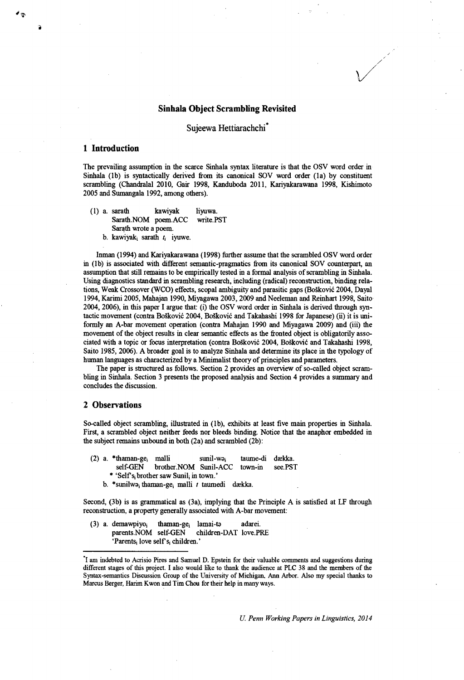## **Sinhala Object Scrambling Revisited**

/

Sujeewa Hettiarachchi<sup>\*</sup>

# **1 Introduction**

>

The prevailing assumption in the scarce Sinhala syntax literature is that the OSV word order in Sinhala (lb) is syntactically derived from its canonical SOV word order (la) by constituent scrambling (Chandralal 2010, Gair 1998, Kanduboda 2011, Kariyakarawana 1998, Kishimoto 2005 and Sumangala 1992, among others).

( 1) a. sarath kawiyak liyuwa. Sarath.NOM poem.ACC write.PST Sarath wrote a poem, b. kawiyak<sub>i</sub> sarath  $t_i$  iyuwe.

Inman (1994) and Kariyakarawana (1998) further assume that the scrambled OSV word order in (lb) is associated with different semantic-pragmatics from its canonical SOV counterpart, an assumption that still remains to be empirically tested in a formal analysis of scrambling in Sinhala. Using diagnostics standard in scrambling research, including (radical) reconstruction, binding relations, Weak Crossover (WCO) effects, scopal ambiguity and parasitic gaps (BoSkovic 2004, Dayal 1994, Karimi 2005, Mahajan 1990, Miyagawa 2003,2009 and Neeleman and Reinhart 1998, Saito 2004, 2006), in this paper I argue that: (i) the OSV word order in Sinhala is derived through syntactic movement (contra BoSkovic 2004, BoSkovic and Takahashi 1998 for Japanese) (ii) it is uniformly an A-bar movement operation (contra Mahajan 1990 and Miyagawa 2009) and (iii) the movement of the object results in clear semantic effects as the fronted object is obligatorily associated with a topic or focus interpretation (contra BoSkovic 2004, BoSkovic and Takahashi 1998, Saito 1985, 2006). A broader goal is to analyze Sinhala and determine its place in the typology of human languages as characterized by a Minimalist theory of principles and parameters.

The paper is structured as follows. Section 2 provides an overview of so-called object scrambling in Sinhala. Section 3 presents the proposed analysis and Section 4 provides a summary and concludes the discussion.

## **2 Observations**

So-called object scrambling, illustrated in (lb), exhibits at least five main properties in Sinhala. First, a scrambled object neither feeds nor bleeds binding. Notice that the anaphor embedded in the subject remains unbound in both (2a) and scrambled (2b):

- (2) a. \*thaman-gej malli sunil-wo, taume-di daekka. self-GEN brother.NOM Sunil-ACC town-in see. PST
	- \* 'Self's<sub>i</sub> brother saw Sunil<sub>i</sub> in town.'
	- b. \*sunilw3, thaman-ge, malli *t* taumedi daekka.

Second, (3b) is as grammatical as (3a), implying that the Principle A is satisfied at LF through reconstruction, a property generally associated with A-bar movement:

(3) a. demawpiyo; thaman-gej lamai-to adarei. parents.NOM self-GEN children-DAT love.PRE 'Parents; love self's; children.'

*U. Penn Working Papers in Linguistics, 2014*

<sup>&#</sup>x27;i am indebted to Acrisio Pires and Samuel D. Epstein for their valuable comments and suggestions during different stages of this project. I also would like to thank the audience at PLC 38 and the members of the Syntax-semantics Discussion Group of the University of Michigan. Ann Arbor. Also my special thanks to Marcus Berger, Harim Kwon and Tim Chou for their help in many ways.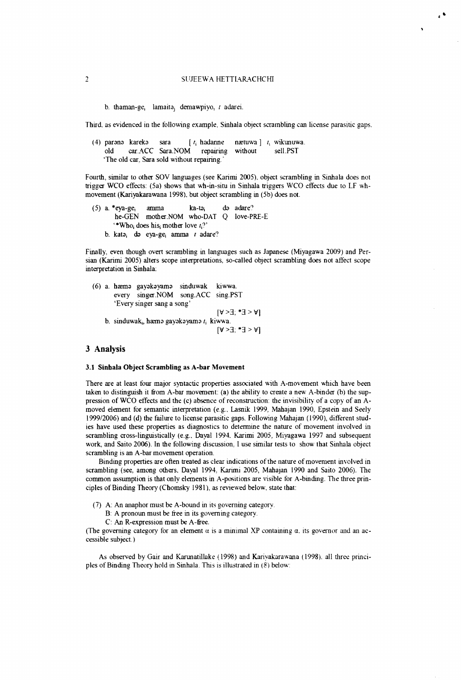### *1* **SUJEEW A HETTIARACHCHI**

 $\ddot{\phantom{a}}$ 

**b.** thaman-ge, lamaita<sub>i</sub> demawpiyo, *t* adarei.

Third, as evidenced in the following example, Sinhala object scrambling can license parasitic gaps.

|                                             |  |                                                 |  |  |  |  | (4) parene kareke sara [ $t_i$ hadanne nætuwa] $t_i$ wikunuwa. |
|---------------------------------------------|--|-------------------------------------------------|--|--|--|--|----------------------------------------------------------------|
|                                             |  | old car.ACC Sara.NOM repairing without sell.PST |  |  |  |  |                                                                |
| 'The old car. Sara sold without repairing.' |  |                                                 |  |  |  |  |                                                                |

Fourth, similar to other SOV languages (see Karimi 2005), object scrambling in Sinhala does not trigger WCO effects: (5a) shows that wh-in-situ in Sinhala triggers WCO effects due to LF whmovement (Kariyakarawana 1998), but object scrambling in (5b) does not.

```
(5) a. *eya-ge, amma ka-ta, do adare0
   he-G EN mother.NOM who-DAT Q love-PRE-E
   *Who<sub>i</sub> does his mother love t_i?'
b. katOj do eya-ge, amma r adare?
```
Finally, even though overt scrambling in languages such as Japanese (Miyagawa 2009) and Per**sian (Karimi 2005) alters scope interpretations, so-called object scrambling does not affect scope interpretation in Sinhala:**

```
(6) a. hasmo gayokayamo sinduwak kiwwa.
   every singer.NOM song.ACC sing.PST
    'Every singer sang a song'
                                     [V > 3; *I > V]b. sinduwak<sub>i</sub>, hæmə gayəkəyamə t_i, kiwwa.
                                     [V > 3; *3 > V]
```
## 3 Analysis

#### 3.1 Sinhala Object Scrambling as A-bar Movement

There are at least four major syntactic properties associated with A-movement which have been taken to distinguish it from A-bar movement: (a) the ability to create a new A-binder (b) the sup**pression of WCO effects and the (c) absence of reconstruction: the invisibility of a copy of an A**moved element for semantic interpretation (e.g., Lasnik 1999, Mahajan 1990, Epstein and Seely **1999/2006) and (d) the failure to license parasitic gaps. Follow ing Mahajan (1990), different stud**ies have used these properties as diagnostics to determine the nature of movement involved in scrambling cross-linguistically (e.g., Dayal 1994. Karimi 2005, Miyagawa 1997 and subsequent work, and Saito 2006). In the following discussion, I use similar tests to show that Sinhala object scrambling is an A-bar movement operation.

Binding properties are often treated as clear indications of the nature of movement involved in **scrambling (see, am ong others. Dayal 1994, Karimi 2005, Mahajan 1990 and Saito 2006). The** common assumption is that only elements in A-positions are visible for A-binding. The three principles of Binding Theory (Chomsky 1981), as reviewed below, state that:

- **(7)** A: An anaphor must be A-bound in its governing category.
	- B: A pronoun must be free in its governing category.
	- C: An R-expression must be A-free.

(The governing category for an element  $\alpha$  is a minimal XP containing  $\alpha$ , its governor and an ac**cessible subject.)**

As observed by Gair and Karunatillake (1998) and Karivakarawana (1998). all three principles of Binding Theory hold in Sinhala. This is illustrated in (8) below: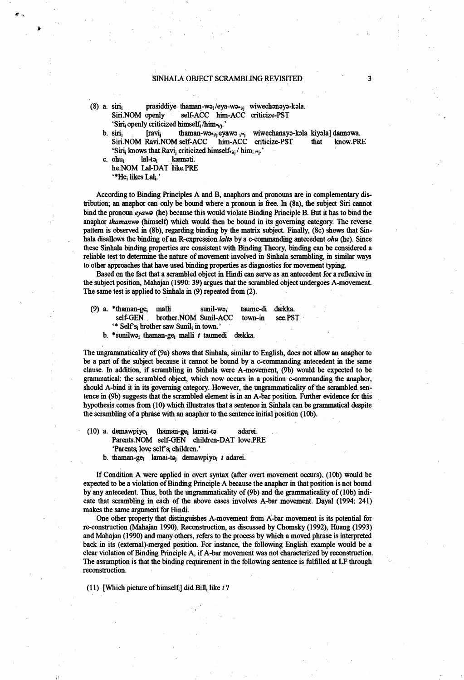## SINHALA OBJECT SCRAMBLING REVISITED 3

(8) a. siri, prasiddiye thaman-wa<sub>i</sub>/eya-wa- $_{ij}$  wiwechanaya-kala.<br>Siri.NOM openly self-ACC him-ACC criticize-PST self-ACC him-ACC criticize-PST 'Siri<sub>i</sub>openly criticized himself<sub>i</sub>/him<sub>\*ij</sub>.'<br>siri<sub>i</sub> [ravi<sub>j</sub> thaman-wo\*ijeyawo ij\*j

b. siri<sub>i</sub> [ravi<sub>j</sub> thaman-w3•<sub>ij</sub> eyawa <sub>i/\*j</sub> wiwechanaya-kala kiyala] dannawa.<br>Siri.NOM Ravi.NOM self-ACC him-ACC criticize-PST that know.PRE Siri.NOM Ravi.NOM self-ACC him-ACC 'Siri<sub>i</sub> knows that Ravi<sub>i</sub> criticized himself $\cdot$ <sub>ij</sub>/ him<sub>i/\*j</sub>.'

c. ohu, lal-toj kaemoti. he.NOM Lal-DAT like.PRE

"He<sub>i</sub> likes Lal<sub>i</sub>.'

According to Binding Principles A and B, anaphors and pronouns are in complementary distribution; an anaphor can only be bound where a pronoun is free. In (8a), the subject Siri cannot bind the pronoun *eyawa* (he) because this would violate Binding Principle B. But it has to bind the anaphor *thamanwa* (himself) which would then be bound in its governing category. The reverse pattern is observed in (8b), regarding binding by the matrix subject. Finally, (8c) shows that Sinhala disallows the binding of an R-expression *lalta* by a c-commanding antecedent *ohu* (he). Since these Sinhala binding properties are consistent with Binding Theory, binding can be considered a reliable test to determine the nature of movement involved in Sinhala scrambling, in similar ways to other approaches that have used binding properties as diagnostics for movement typing.

Based on the fact that a scrambled object in Hindi can serve as an antecedent for a reflexive in the subject position, Mahajan (1990: 39) argues that the scrambled object undergoes A-movement. The same test is applied to Sinhala in (9) repeated from (2).

|                                                                 |  | $(9)$ a. *thaman-ge <sub>i</sub> malli | sunil-wa; taume-di dækka.               |  |         |  |
|-----------------------------------------------------------------|--|----------------------------------------|-----------------------------------------|--|---------|--|
|                                                                 |  |                                        | self-GEN brother. NOM Sunil-ACC town-in |  | see.PST |  |
| "* Self's <sub>i</sub> brother saw Sunil <sub>i</sub> in town." |  |                                        |                                         |  |         |  |

b. \*sunilw3i thaman-gej malli *t* taumedi daekka.

The ungrammatically of (9a) shows that Sinhala, similar to English, does not allow an anaphor to be a part of the subject because it cannot be bound by a c-commanding antecedent in the same clause. In addition, if scrambling in Sinhala were A-movement, (9b) would be expected to be grammatical: the scrambled object, which now occurs in a position c-commanding the anaphor, should A-bind it in its governing category. However, the ungrammaticality of the scrambled sentence in (9b) suggests that the scrambled element is in an A-bar position. Further evidence for this hypothesis comes from (10) which illustrates that a sentence in Sinhala can be grammatical despite the scrambling of a phrase with an anaphor to the sentence initial position (10b).

- (10) a. demawpiyoj thaman-gej lamai-ta adarei. Parents.NOM self-GEN children-DAT love.PRE 'Parents<sub>i</sub> love self's<sub>i</sub> children.'
	- b. thaman-gej lamai-tej demawpiyoj *t* adarei.

If Condition A were applied in overt syntax (after overt movement occurs), (10b) would be expected to be a violation of Binding Principle A because the anaphor in that position is not bound by any antecedent. Thus, both the ungrammaticality of (9b) and the grammaticality of (10b) indicate that scrambling in each of the above cases involves A-bar movement. Dayal (1994: 241) makes the same argument for Hindi.

One other property that distinguishes A-movement from A-bar movement is its potential for re-construction (Mahajan 1990). Reconstruction, as discussed by Chomsky (1992), Huang (1993) and Mahajan (1990) and many others, refers to the process by which a moved phrase is interpreted back in its (extemal)-merged position. For instance, the following English example would be a clear violation of Binding Principle A, if A-bar movement was not characterized by reconstruction. The assumption is that the binding requirement in the following sentence is fulfilled at LF through reconstruction.

 $(11)$  [Which picture of himself.] did Bill, like  $t$ ?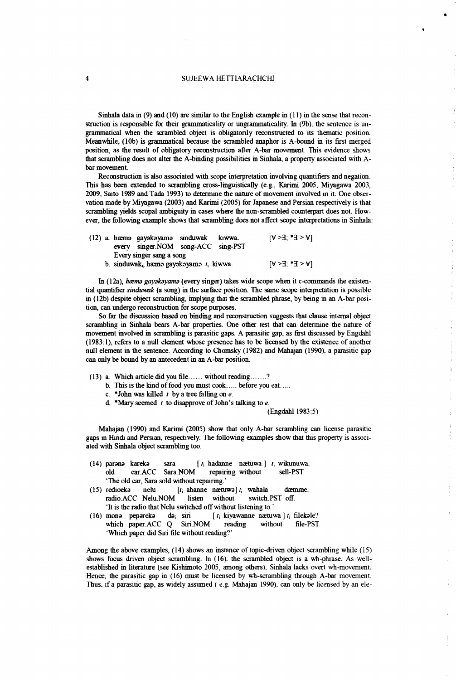## 4 SUJEEWA HETTLARACHCHI

Sinhala data in (9) and (10) are similar to the English example in (11) in the sense that reconstruction is responsible for their grammaticality or ungrammaticality. In (9b), the sentence is ungrammatical when the scrambled object is obligatorily reconstructed to its thematic position. Meanwhile, (10b) is grammatical because the scrambled anaphor is A-bound in its first merged position, as the result of obligatory reconstruction after A-bar movement. This evidence shows that scrambling does not alter the A-binding possibilities in Sinhala, a property associated with Abar movement.

Reconstruction is also associated with scope interpretation involving quantifiers and negation. This has been extended to scrambling cross-linguistically (e g., Karimi 2005, Miyagawa 2003, 2009, Saito 1989 and Tada 1993) to determine the nature of movement involved in it. One observation made by Miyagawa (2003) and Karimi (2005) for Japanese and Persian respectively is that scrambling yields scopal ambiguity in cases where the non-scrambled counterpart does not. However, the following example shows that scrambling does not affect scope interpretations in Sinhala:

|  |                          | (12) a. hæma gayakayama sinduwak kiwwa.                  |  |  | $[A \leq E^* : E \leq A]$ |
|--|--------------------------|----------------------------------------------------------|--|--|---------------------------|
|  |                          | every singer. NOM song-ACC sing-PST                      |  |  |                           |
|  | Every singer sang a song |                                                          |  |  |                           |
|  |                          | b. sinduwak <sub>i</sub> , haema gayakayama $t_i$ kiwwa. |  |  | $[A \leq E^* \leq S]$     |

In (12a), *hcema gayakayama* (every singer) takes wide scope when it c-commands the existential quantifier *sinduwak* (a song) in the surface position. The same scope interpretation is possible in (12b) despite object scrambling, implying that the scrambled phrase, by being in an A-bar position, can undergo reconstruction for scope purposes.

So far the discussion based on binding and reconstruction suggests that clause internal object scrambling in Sinhala bears A-bar properties. One other test that can determine the nature of movement involved in scrambling is parasitic gaps. A parasitic gap, as first discussed by Engdahl (1983:1), refers to a null element whose presence has to be licensed by the existence of another null element in the sentence. According to Chomsky (1982) and Mahajan (1990), a parasitic gap can only be bound by an antecedent in an A-bar position.

- (13) a. Which article did you file.......without reading......... ?
	- b. This is the kind of food you must cook..... before you eat.....
	- c. \*John was killed  $t$  by a tree falling on  $e$ .
	- d. ' Mary seemed *t* to disapprove of John's talking to *e.*

#### (Engdahl 1983:5)

 $\frac{1}{2}$ 

 $\bar{\gamma}$ 

 $\hat{\epsilon}$ 

Mahajan (1990) and Karimi (2005) show that only A-bar scrambling can license parasitic gaps in Hindi and Persian, respectively. The following examples show that this property is associated with Sinhala object scrambling too.

- (14) parana kareka sara [ r, hadanne naetuwa ] *t,* wikunuwa. old car ACC Sara.NOM repairing without sell-PST 'The old car, Sara sold without repairing.'
- (15) redioeka nelu  $[t_i]$  ahanne naetuwa]  $t_i$  wahala daemme. radio.ACC Nelu.NOM listen without switch.PST off. 'It is the radio that Nelu switched off without listening to.'
- (16) mona pepareka da<sub>i</sub> siri [ $t_i$  kiyawanne naetuwa ]  $t_i$  filekale? which paper.ACC Q Siri.NOM reading without file-PST Which paper did Siri file without reading?'

Among the above examples, (14) shows an instance of topic-driven object scrambling while (15) shows focus driven object scrambling. In (16), the scrambled object is a wh-phrase. As wellestablished in literature (see Kishimoto 2005, among others). Sinhala lacks overt wh-movement. Hence, the parasitic gap in (16) must be licensed by wh-scrambling through A-bar movement. Thus, if a parasitic gap, as widely assumed ( e.g. Mahajan 1990), can only be licensed by an ele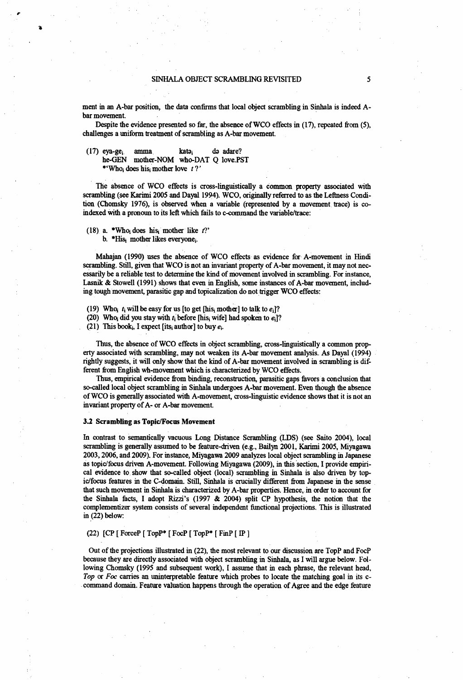ment in an A-bar position, the data confirms that local object scrambling in Sinhala is indeed Abar movement.

Despite the evidence presented so far, the absence of WCO effects in (17), repeated from (5), challenges a uniform treatment of scrambling as A-bar movement.

(17) eya-ge<sub>i</sub> amma kata<sub>i</sub> da adare?<br>he-GEN mother-NOM who-DAT O love PS mother-NOM who-DAT Q love.PST \*'Who<sub>i</sub> does his mother love *t*?'

The absence of WCO effects is cross-linguistically a common property associated with scrambling (see Karimi 2005 and Dayal 1994). WCO, originally referred to as the Leftness Condition (Chomsky 1976), is observed when a variable (represented by a movement trace) is coindexed with a pronoun to its left which fails to c-command the variable/trace:

(18) a. \*Whoi does his, mother like  $t$ ?'

b. \*His<sub>i</sub> mother likes everyone<sub>i</sub>.

Mahajan (1990) uses the absence of WCO effects as evidence for A-movement in Hindi scrambling. Still, given that WCO is not an invariant property of A-bar movement, it may not necessarily be a reliable test to determine die kind of movement involved in scrambling. For instance, Lasnik & Stowell (1991) shows that even in English, some instances of A-bar movement, including tough movement, parasitic gap and topicalization do not trigger WCO effects:

(19) Who<sub>i</sub>  $t_i$  will be easy for us [to get [his<sub>i</sub> mother] to talk to  $e_i$ ]?

(20) Who<sub>i</sub> did you stay with  $t_i$  before [his<sub>i</sub> wife] had spoken to  $e_i$ ]?

(21) This book<sub>i</sub>, I expect [its<sub>i</sub> author] to buy  $e_i$ .

Thus, the absence of WCO effects in object scrambling, cross-linguistically a common property associated with scrambling, may not weaken its A-bar movement analysis. As Dayal (1994) rightly suggests, it will only show that the kind of A-bar movement involved in scrambling is different from English wh-movement which is characterized by WCO effects.

Thus, empirical evidence from binding, reconstruction, parasitic gaps favors a conclusion that so-called local object scrambling in Sinhala undergoes A-bar movement. Even though the absence of WCO is generally associated with A-movement, cross-linguistic evidence shows that it is not an invariant property of A-or A-bar movement

#### 3.2 Scrambling as Topic/Focus Movement

In contrast to semantically vacuous Long Distance Scrambling (LDS) (see Saito 2004), local scrambling is generally assumed to be feature-driven (e.g., Bailyn 2001, Karimi 2005, Miyagawa 2003,2006, and 2009). For instance, Miyagawa 2009 analyzes local object scrambling in Japanese as topic/focus driven A-movement. Following Miyagawa (2009), in this section, I provide empirical evidence to show that so-called object (local) scrambling in Sinhala is also driven by topic/focus features in the C-domain. Still, Sinhala is crucially different from Japanese in the sense that such movement in Sinhala is characterized by A-bar properties. Hence, in order to account for the Sinhala facts, I adopt Rizzi's (1997 & 2004) split CP hypothesis, the notion that the complementizer system consists of several independent functional projections. This is illustrated in (22) below:

## (22) [CP [ ForceP [ TopP\* [ FocP [ TopP\* [ FinP [ IP ]

Out of the projections illustrated in (22), the most relevant to our discussion are TopP and FocP because they are directly associated with object scrambling in Sinhala, as I will argue below. Following Chomsky (1995 and subsequent work), I assume that in each phrase, the relevant head, *Top* or *Foe* carries an uninterpretable feature which probes to locate the matching goal in its ccommand domain. Feature valuation happens through the operation of Agree and the edge feature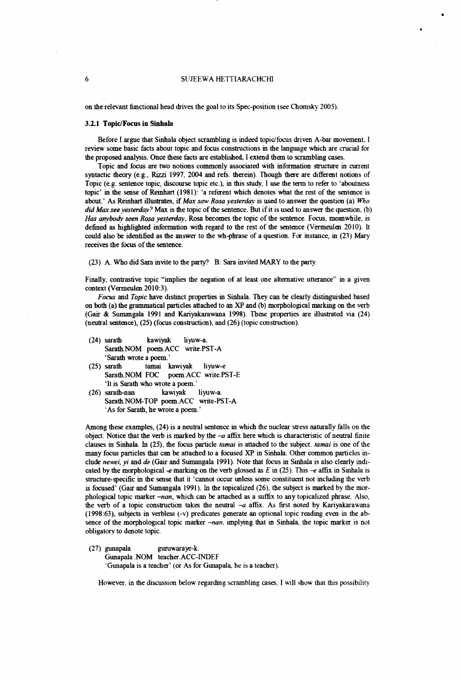#### **6** SUJEEWA HETTIARACHCHI

on the relevant functional head drives the goal to its Spec-position (see Chomsky 2005).

#### 3.2.1 Topic/Focus in Sinhala

Before I argue that Sinhala object scrambling is indeed topic/focus driven A-bar movement, I review some basic facts about topic and focus constructions in the language which are crucial tor the proposed analysis. Once these facts are established. I extend them to scrambling cases.

Topic and focus are two notions commonly associated with information structure in current syntactic theory (e.g., Rizzi 1997, 2004 and refs, therein). Though there are different notions of Topic (e.g. sentence topic, discourse topic etc.), in this study, I use the term to refer to 'aboutness topic' in the sense of Reinhart (1981): 'a referent which denotes what the rest of the sentence is about.' As Reinhart illustrates, if *Max saw Rosa yesterday* is used to answer the question (a) *Who did Max see yesterday?* Max is the topic of the sentence. But if it is used to answer the question, (b) *Has anybody seen Rosa yesterday,* Rosa becomes the topic of the sentence. Focus, meanwhile, is defined as highlighted information with regard to the rest of the sentence (Vermeulen 2010). It could also be identified as the answer to the wh-phrase of a question. For instance, in (23) Mary receives the focus of the sentence.

(23) A. Who did Sara invite to the party? B: Sara invited MARY to the party.

Finally, contrastive topic "implies the negation of at least one alternative utterance" in a given context (Vermeulen 2010:3).

*Focus* and *Topic* have distinct properties in Sinhala. They can be clearly distinguished based on both (a) the grammatical particles attached to an XP and (b) morphological marking on the verb (Gair & Sumangala 1991 and Kariyakarawana 1998). These properties are illustrated via (24) (neutral sentence), (25) (focus construction), and (26) (topic construction).

- (24) sarath kawiyak liyuw-a. Sarath.NOM poem.ACC write.PST-A 'Sarath wrote a poem.'
- (25) sarath tamai kawiyak liyuw-e Sarath.NOM FOC poem.ACC write.PST-E 'It is Sarath who wrote a poem. '
- (26) sarath-nan kawiyak liyuw-a. Sarath.NOM-TOP poem.ACC write-PST-A As for Sarath, he wrote a poem. '

Among these examples, (24) is a neutral sentence in which die nuclear stress naturally falls on the object. Notice that the verb is marked by the  $-a$  affix here which is characteristic of neutral finite clauses in Sinhala. In (25), the focus particle *tamai* is attached to the subject, *tamai* is one of the many focus particles that can be attached to a focused XP in Sinhala. Other common particles include *newei, yi* and *da* (Gair and Sumangala 1991). Note that focus in Sinhala is also clearly indicated by the morphological *-e* marking on the verb glossed as £ in (25). This *-e* affix in Sinhala is structure-specific in the sense that it 'cannot occur unless some constituent not including the verb is focused' (Gair and Sumangala 1991). In the topicalized (26), the subject is marked by the morphological topic marker *-nan,* which can be attached as a suffix to any topicalized phrase. Also, the verb of a topic construction takes die neutral *-a* affix. As first noted by Kariyakarawana (1998:63), subjects in verbless (-v) predicates generate an optional topic reading even in the absence of the morphological topic marker *-nan.* implying that in Sinhala. the topic marker is not obligatory to denote topic.

(27) gunapala guruwaraye-k. Gunapala .NOM teacher.ACC-INDEF Gunapala is a teacher' (or As for Gunapala, he is a teacher).

However, in the discussion below regarding scrambling cases, I will show that this possibility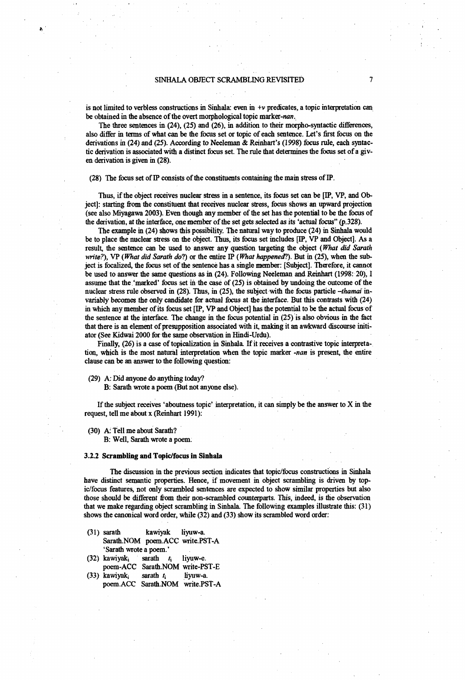is not limited to verbless constructions in Sinhala: even in  $+v$  predicates, a topic interpretation can be obtained in the absence of the overt morphological topic marker-nan.

The three sentences in (24), (25) and (26), in addition to their morpho-syntactic differences, also differ in terms of what can be the focus set or topic of each sentence. Let's first focus on die derivations in (24) and (25). According to Neeleman *&* Reinhart's (1998) focus rule, each syntactic derivation is associated with a distinct focus set. The rule that determines the focus set of a given derivation is given in (28).

#### (28) The focus set of IP consists of the constituents containing the main stress of IP.

Thus, if the object receives nuclear stress in a sentence, its focus set can be [IP, VP, and Object]: starting from the constituent that receives nuclear stress, focus shows an upward projection (see also Miyagawa 2003). Even though any member of the set has the potential to be the focus of the derivation, at the interface, one member of the set gets selected as its 'actual focus" (p.328).

The example in (24) shows this possibility. The natural way to produce (24) in Sinhala would be to place the nuclear stress on the object. Thus, its focus set includes [IP, VP and Object]. As a result, the sentence can be used to answer any question targeting the object *(What did Sarath write?),* VP *(What did Sarath do*?) or the entire IP *(What happened*?). But in (25), when the subject is focalized, the focus set of the sentence has a single member: [Subject]. Therefore, it cannot be used to answer the same questions as in (24). Following Neeleman mid Reinhart (1998: 20), I assume that the 'marked' focus set in the case of (25) is obtained by undoing the outcome of the nuclear stress rule observed in (28). Thus, in (25), the subject with the focus particle *-thamai* invariably becomes the only candidate for actual focus at the interface. But this contrasts with (24) in which any member of its focus set [IP, VP and Object] has the potential to be the actual focus of the sentence at the interface. The change in the focus potential in  $(25)$  is also obvious in the fact that there is an element of presupposition associated with it making it an awkward discourse initiator (See Kidwai 2000 for the same observation in Hindi-Urdu).

Finally, (26) is a case of topicalization in Sinhala. If it receives a contrastive topic interpretation, which is the most natural interpretation when the topic marker *-nan* is present, the entire clause can be an answer to the following question:

#### (29) A: Did anyone do anything today?

B: Sarath wrote a poem (But not anyone else).

If the subject receives 'aboutness topic' interpretation, it can simply be the answer to X in the request, tell me about x (Reinhart 1991):

(30) A: Tell me about Sarath?

B: Well, Sarath wrote a poem.

#### 3.2.2 Scrambling and Topic/focus in Sinhala

The discussion in the previous section indicates that topic/focus constructions in Sinhala have distinct semantic properties. Hence, if movement in object scrambling is driven by topic/focus features, not only scrambled sentences are expected to show similar properties but also those should be different from their non-scrambled counterparts. This, indeed, is die observation that we make regarding object scrambling in Sinhala. The following examples illustrate this: (31) shows the canonical word order, while (32) and (33) show its scrambled word order:

- (31) sarath kawiyak liyuw-a. Sarath.NOM poem.ACC write.PST-A 'Sarath wrote a poem.'
- (32) kawiyaki sarath *h* liyuw-e. poem-ACC Sarath.NOM write-PST-E (33) kawiyak<sub>i</sub> sarath  $t_i$  liyuw-a.
- poem.ACC Sarath.NOM write.PST-A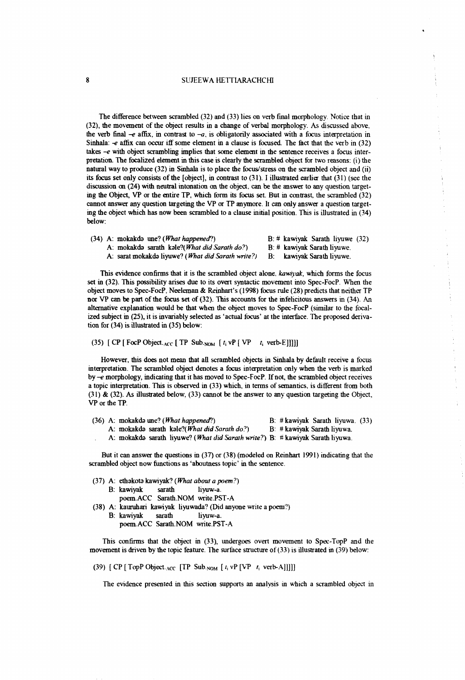## 8 SUJEEWA HETTIARACHCHI

The difference between scrambled (32) and (33) lies on verb final morphology. Notice that in (32), the movement of the object results in a change of verbal morphology. As discussed above, the verb final  $-e$  affix, in contrast to  $-a$ , is obligatorily associated with a focus interpretation in Sinhala: *-e* affix can occur iff some element in a clause is focused. The fact that the verb in (32) takes *-e* with object scrambling implies that some element in the sentence receives a focus interpretation. The focalized element in this case is clearly the scrambled object tor two reasons: (i) the natural way to produce (32) in Sinhala is to place the focus/stress on the scrambled object and (ii) its focus set only consists of the [object], in contrast to (31). I illustrated earlier that (31) (see the discussion on (24) with neutral intonation on the object, can be the answer to any question targeting the Object, VP or the entire TP, which form its focus set. But in contrast, the scrambled (32) cannot answer any question targeting the VP or TP anymore. It can only answer a question targeting the object which has now been scrambled to a clause initial position. This is illustrated in (34) below:

|  | $(34)$ A: mokakda une? ( <i>What happened</i> ?)           | $B:$ # kawiyak Sarath liyuwe $(32)$ |
|--|------------------------------------------------------------|-------------------------------------|
|  | A: mokakda sarath kale?( <i>What did Sarath do</i> ?)      | $B:$ # kawiyak Sarath liyuwe.       |
|  | A: sarat mokakdə liyuwe? ( <i>What did Sarath write?</i> ) | B: kawiyak Sarath livuwe.           |

This evidence confirms that it is the scrambled object alone, *kawiyak,* which forms the focus set in (32). This possibility arises due to its overt syntactic movement into Spec-FocP. When the object moves to Spec-FocP, Neeleman & Reinhart's (1998) focus rule (28) predicts that neither TP nor VP can be part of the focus set of (32). This accounts for the infelicitous answers in (34). An alternative explanation would be that when the object moves to Spec-FocP (similar to the focalized subject in (25), it is invariably selected as 'actual focus' at the interface. The proposed derivation for (34) is illustrated in (35) below:

## (35) [ CP [ FocP Object.<sub>ACC</sub> [ TP Sub.<sub>NOM</sub>  $[t_i \vee P] \vee P$   $t_i$  verb-E]]]]]

However, this does not mean that all scrambled objects in Sinhala by default receive a focus interpretation. The scrambled object denotes a focus interpretation only when the verb is marked by *-e* morphology, indicating that it has moved to Spec-FocP. If not, the scrambled object receives a topic interpretation. This is observed in (33) which, in terms of semantics, is different from both (31) & (32). As illustrated below, (33) cannot be the answer to any question targeting the Object, VP or the TP.

|  | $(36)$ A: mokakda une? ( <i>What happened</i> ?)                              |  | B: $#$ kawiyak Sarath liyuwa. $(33)$ |  |
|--|-------------------------------------------------------------------------------|--|--------------------------------------|--|
|  | A: mokakdə sarath kəle?( <i>What did Sarath do</i> ?)                         |  | B: # kawiyak Sarath liyuwa.          |  |
|  | A: mokakda sarath liyuwe? (What did Sarath write?) B: #kawiyak Sarath liyuwa. |  |                                      |  |

But it can answer die questions in (37) or (38) (modeled on Reinhart 1991) indicating that the scrambled object now functions as 'aboutness topic' in the sentence.

|  | $(37)$ A: ethakota kawiyak? ( <i>What about a poem</i> ?) |  |                                                                |  |
|--|-----------------------------------------------------------|--|----------------------------------------------------------------|--|
|  |                                                           |  | B: kawiyak sarath liyuw-a.                                     |  |
|  |                                                           |  | poem.ACC Sarath.NOM write.PST-A                                |  |
|  |                                                           |  | (38) A: kauruhari kawiyak liyuwada? (Did anyone write a poem?) |  |
|  | B: kawiyak sarath                                         |  | liyuw-a.                                                       |  |

poemACC Sarath.NOM write.PST-A

This confirms that the object in (33), undergoes overt movement to Spec-TopP and the movement is driven by the topic feature. The surface structure of (33) is illustrated in (39) below:

(39) [ CP [TopP Object.Acc [TP Sub.NOM [  $t_i$  vP [VP  $t_i$  verb-A]]]]]

The evidence presented in this section supports an analysis in which a scrambled object in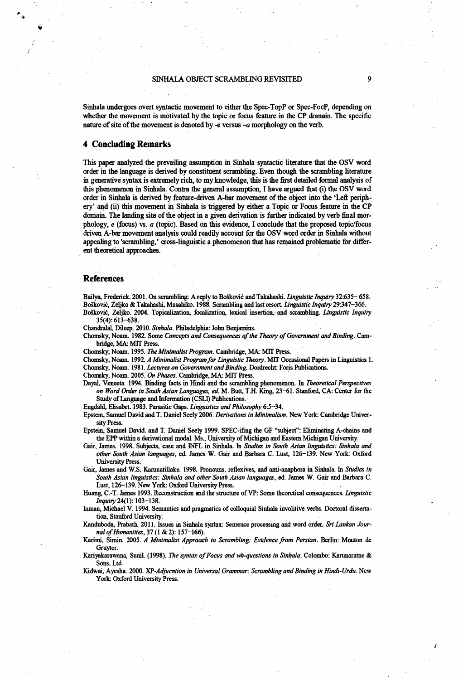### SINHALA OBJECT SCRAMBLING REVISITED 9

Sinhala undergoes overt syntactic movement to either the Spec-TopP or Spec-FocP, depending on whether the movement is motivated by the topic or focus feature in the CP domain. The specific nature of site of the movement is denoted by -e versus -a morphology on the verb.

## 4 Concluding Remarks

This paper analyzed the prevailing assumption in Sinhala syntactic literature that the OSV word order in the language is derived by constituent scram bling. Even though the scrambling literature in generative syntax is extremely rich, to my knowledge, this is the first detailed formal analysis of this phenomenon in Sinhala. Contra the general assumption, I have argued that (i) the OSV word order in Sinhala is derived by feature-driven A-bar movement of the object into the 'Left periphery' and (ii) this movement in Sinhala is triggered by either a Topic or Focus feature in the CP domain. The landing site of the object in a given derivation is further indicated by verb final morphology, *e* (focus) vs. *a* (topic). Based on this evidence, I conclude that the proposed topic/focus driven A-bar movement analysis could readily account for the OSV word order in Sinhala without appealing to 'scrambling,' cross-linguistic a phenomenon that has remained problematic for different theoretical approaches.

#### References

Bailyn, Frederick. 2001. On scrambling: A reply to BoSkovic and Takahashi. *linguistic Inquiry* 32:635- 658. Boskovic, Zeljko & Takahashi, Masabiko. 1988. Scrambling and last resort *Linguistic Inquiry* 29347-366. BoSkovic, Zeljko. 2004. Topicalization, focal ization, lexical insertion, and scrambling. *Linguistic Inquiry*

35(4): 613-638.

Chandralal, Dileep. 2010. *Sinhala.* Philadelphia: John Benjamins.

Chomsky, Noam. 1982. Some *Concepts and Consequences of the Theory of Government and Binding*. Cambridge, MA: MIT Press.

Chomsky, Noam. 1995. *The Minimalist Program.* Cambridge, MA: MIT Press.

Chomsky, Noam. 1992. *A Minimalist Program for Linguistic Theory*. MIT Occasional Papers in Linguistics 1. Chomsky, Noam. 1981. *Lectures on Government and Binding.* Dordrecht: Foris.Publications.

Chomsky, Noam. 2005. *On Phases.* Cambridge, MA: MIT Press.

Dayal, Veneeta. 1994. Binding facts in Hindi and the scrambling phenomenon. In *Theoretical Perspectives on Word Order in South Asian Languages, ed.* M. Butt, T.H. King, 23-61. Stanford, CA: Center for the Study of Language and Information (CSLI) Publications.

Engdahl, Elisabet. 1983. Parasitic Gaps. *Linguistics and Philosophy* 6:5-34.

Epstein, Samuel David and T. Daniel Seely 2006. *Derivations in Minimalism.* New York: Cambridge University Press.

Epstein, Samuel David, and T. Daniel Seely 1999. SPEC-ifing the GF "subject": Eliminating A-chains and the EPP within a derivational modal. Ms., University of Michigan and Eastern Michigan University.

- Gair, James. 1998. Subjects, case and INFL in Sinhala. hi *Studies in South Asian linguistics: Sinhala and other South Asian languages,* ed James W. Gair and Barbara C. Lust, 126-139. New York: Oxford University Press.
- Gair, James and W.S. Karunatillake. 1998. Pronouns, reflexives, and anti-anaphora in Sinhala. hi *Studies in South Asian linguistics: Sinhala and other South Asian languages,* ed. James W. Gair and Barbara C. Lust, 126-139. New York: Oxford University Press.

Huang, C.-T. James 1993. Reconstruction and the structure of VP: Some theoretical consequences. *Linguistic Inquiry* 24(1): 103-138.

Inman, Michael V. 1994. Semantics and pragmatics of colloquial Sinhala involitive verbs. Doctoral dissertation, Stanford University.

Kanduboda, Prabath. 2011. Issues in Sinhala syntax: Sentence processing and word order. *Sri Lankan Jour*nal of Humanities, 37 (1 & 2): 157-166).

Karimi, Simin. 2005. *A Minimalist Approach to Scrambling: Evidence from Persian.* Berlin: Mouton de Gruyter.

Kariyakarawana, Sunil. (1998). *The syntax of Focus and wh-questions in Sinhala*. Colombo: Karunaratne & Sons, Ltd

Kidwai, Ayesha. 2000. XP*-Adjucntion in Universal Grammar: Scrambling and Binding in Hindi-Urdu.* New York: Oxford University Press.